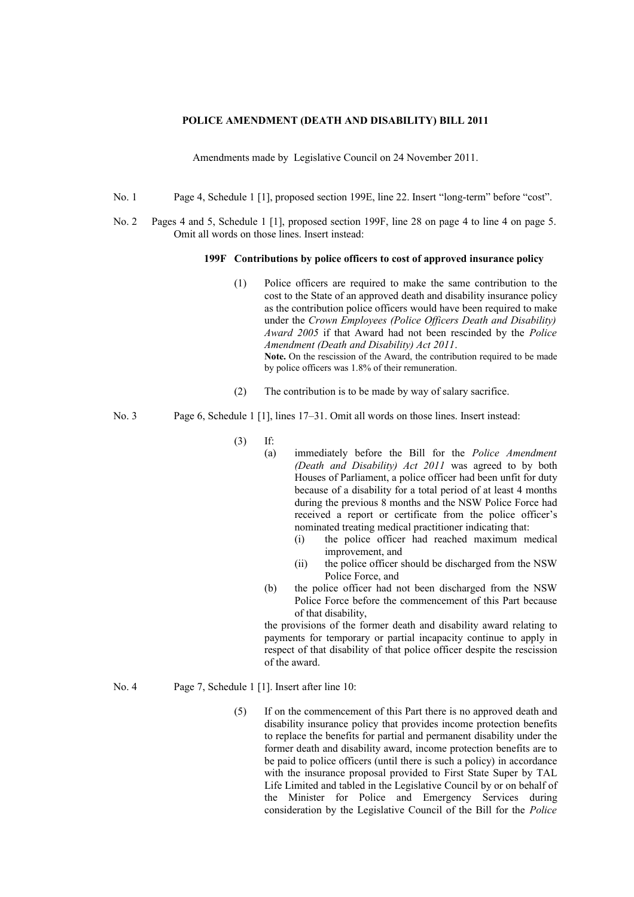## **POLICE AMENDMENT (DEATH AND DISABILITY) BILL 2011**

Amendments made by Legislative Council on 24 November 2011.

- No. 1 Page 4, Schedule 1 [1], proposed section 199E, line 22. Insert "long-term" before "cost".
- No. 2 Pages 4 and 5, Schedule 1 [1], proposed section 199F, line 28 on page 4 to line 4 on page 5. Omit all words on those lines. Insert instead:

## **199F Contributions by police officers to cost of approved insurance policy**

- (1) Police officers are required to make the same contribution to the cost to the State of an approved death and disability insurance policy as the contribution police officers would have been required to make under the *Crown Employees (Police Officers Death and Disability) Award 2005* if that Award had not been rescinded by the *Police Amendment (Death and Disability) Act 2011*. Note. On the rescission of the Award, the contribution required to be made by police officers was 1.8% of their remuneration.
- (2) The contribution is to be made by way of salary sacrifice.
- No. 3 Page 6, Schedule 1 [1], lines 17–31. Omit all words on those lines. Insert instead:
	- (3) If:
		- (a) immediately before the Bill for the *Police Amendment (Death and Disability) Act 2011* was agreed to by both Houses of Parliament, a police officer had been unfit for duty because of a disability for a total period of at least 4 months during the previous 8 months and the NSW Police Force had received a report or certificate from the police officer's nominated treating medical practitioner indicating that:
			- (i) the police officer had reached maximum medical improvement, and
			- (ii) the police officer should be discharged from the NSW Police Force, and
		- (b) the police officer had not been discharged from the NSW Police Force before the commencement of this Part because of that disability,

the provisions of the former death and disability award relating to payments for temporary or partial incapacity continue to apply in respect of that disability of that police officer despite the rescission of the award.

- No. 4 Page 7, Schedule 1 [1]. Insert after line 10:
	- (5) If on the commencement of this Part there is no approved death and disability insurance policy that provides income protection benefits to replace the benefits for partial and permanent disability under the former death and disability award, income protection benefits are to be paid to police officers (until there is such a policy) in accordance with the insurance proposal provided to First State Super by TAL Life Limited and tabled in the Legislative Council by or on behalf of the Minister for Police and Emergency Services during consideration by the Legislative Council of the Bill for the *Police*